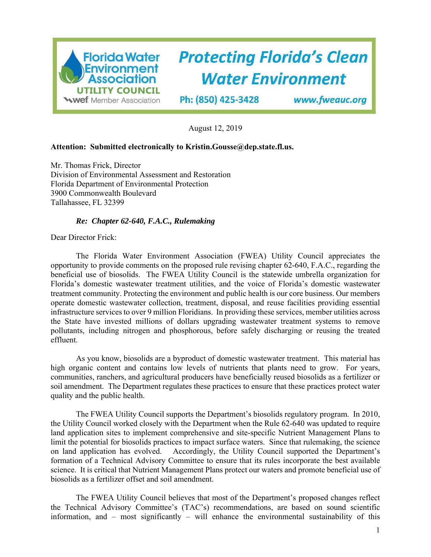

August 12, 2019

## **Attention: Submitted electronically to Kristin.Gousse@dep.state.fl.us.**

Mr. Thomas Frick, Director Division of Environmental Assessment and Restoration Florida Department of Environmental Protection 3900 Commonwealth Boulevard Tallahassee, FL 32399

## *Re: Chapter 62-640, F.A.C., Rulemaking*

Dear Director Frick:

The Florida Water Environment Association (FWEA) Utility Council appreciates the opportunity to provide comments on the proposed rule revising chapter 62-640, F.A.C., regarding the beneficial use of biosolids. The FWEA Utility Council is the statewide umbrella organization for Florida's domestic wastewater treatment utilities, and the voice of Florida's domestic wastewater treatment community. Protecting the environment and public health is our core business. Our members operate domestic wastewater collection, treatment, disposal, and reuse facilities providing essential infrastructure services to over 9 million Floridians. In providing these services, member utilities across the State have invested millions of dollars upgrading wastewater treatment systems to remove pollutants, including nitrogen and phosphorous, before safely discharging or reusing the treated effluent.

As you know, biosolids are a byproduct of domestic wastewater treatment. This material has high organic content and contains low levels of nutrients that plants need to grow. For years, communities, ranchers, and agricultural producers have beneficially reused biosolids as a fertilizer or soil amendment. The Department regulates these practices to ensure that these practices protect water quality and the public health.

The FWEA Utility Council supports the Department's biosolids regulatory program. In 2010, the Utility Council worked closely with the Department when the Rule 62-640 was updated to require land application sites to implement comprehensive and site-specific Nutrient Management Plans to limit the potential for biosolids practices to impact surface waters. Since that rulemaking, the science on land application has evolved. Accordingly, the Utility Council supported the Department's formation of a Technical Advisory Committee to ensure that its rules incorporate the best available science. It is critical that Nutrient Management Plans protect our waters and promote beneficial use of biosolids as a fertilizer offset and soil amendment.

The FWEA Utility Council believes that most of the Department's proposed changes reflect the Technical Advisory Committee's (TAC's) recommendations, are based on sound scientific information, and – most significantly – will enhance the environmental sustainability of this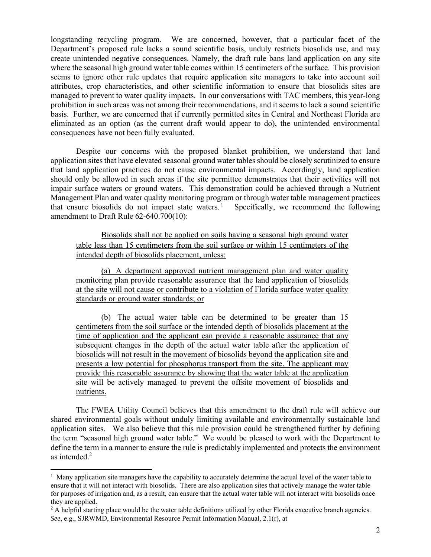longstanding recycling program. We are concerned, however, that a particular facet of the Department's proposed rule lacks a sound scientific basis, unduly restricts biosolids use, and may create unintended negative consequences. Namely, the draft rule bans land application on any site where the seasonal high ground water table comes within 15 centimeters of the surface. This provision seems to ignore other rule updates that require application site managers to take into account soil attributes, crop characteristics, and other scientific information to ensure that biosolids sites are managed to prevent to water quality impacts. In our conversations with TAC members, this year-long prohibition in such areas was not among their recommendations, and it seems to lack a sound scientific basis. Further, we are concerned that if currently permitted sites in Central and Northeast Florida are eliminated as an option (as the current draft would appear to do), the unintended environmental consequences have not been fully evaluated.

Despite our concerns with the proposed blanket prohibition, we understand that land application sites that have elevated seasonal ground water tables should be closely scrutinized to ensure that land application practices do not cause environmental impacts. Accordingly, land application should only be allowed in such areas if the site permittee demonstrates that their activities will not impair surface waters or ground waters. This demonstration could be achieved through a Nutrient Management Plan and water quality monitoring program or through water table management practices that ensure biosolids do not impact state waters.<sup>1</sup> Specifically, we recommend the following amendment to Draft Rule 62-640.700(10):

Biosolids shall not be applied on soils having a seasonal high ground water table less than 15 centimeters from the soil surface or within 15 centimeters of the intended depth of biosolids placement, unless:

(a) A department approved nutrient management plan and water quality monitoring plan provide reasonable assurance that the land application of biosolids at the site will not cause or contribute to a violation of Florida surface water quality standards or ground water standards; or

(b) The actual water table can be determined to be greater than 15 centimeters from the soil surface or the intended depth of biosolids placement at the time of application and the applicant can provide a reasonable assurance that any subsequent changes in the depth of the actual water table after the application of biosolids will not result in the movement of biosolids beyond the application site and presents a low potential for phosphorus transport from the site. The applicant may provide this reasonable assurance by showing that the water table at the application site will be actively managed to prevent the offsite movement of biosolids and nutrients.

The FWEA Utility Council believes that this amendment to the draft rule will achieve our shared environmental goals without unduly limiting available and environmentally sustainable land application sites. We also believe that this rule provision could be strengthened further by defining the term "seasonal high ground water table." We would be pleased to work with the Department to define the term in a manner to ensure the rule is predictably implemented and protects the environment as intended. $2$ 

<sup>&</sup>lt;sup>1</sup> Many application site managers have the capability to accurately determine the actual level of the water table to ensure that it will not interact with biosolids. There are also application sites that actively manage the water table for purposes of irrigation and, as a result, can ensure that the actual water table will not interact with biosolids once they are applied.

<sup>&</sup>lt;sup>2</sup> A helpful starting place would be the water table definitions utilized by other Florida executive branch agencies. *See*, e.g., SJRWMD, Environmental Resource Permit Information Manual, 2.1(r), at